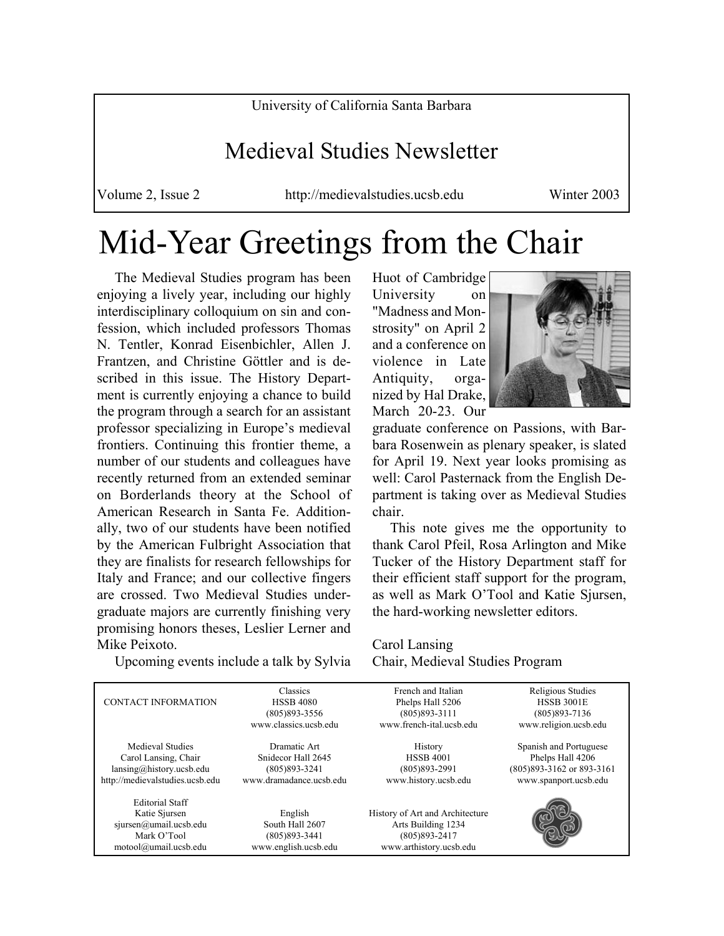University of California Santa Barbara

### Medieval Studies Newsletter

Volume 2, Issue 2 http://medievalstudies.ucsb.edu Winter 2003

# Mid-Year Greetings from the Chair

 The Medieval Studies program has been enjoying a lively year, including our highly interdisciplinary colloquium on sin and confession, which included professors Thomas N. Tentler, Konrad Eisenbichler, Allen J. Frantzen, and Christine Göttler and is described in this issue. The History Department is currently enjoying a chance to build the program through a search for an assistant professor specializing in Europe's medieval frontiers. Continuing this frontier theme, a number of our students and colleagues have recently returned from an extended seminar on Borderlands theory at the School of American Research in Santa Fe. Additionally, two of our students have been notified by the American Fulbright Association that they are finalists for research fellowships for Italy and France; and our collective fingers are crossed. Two Medieval Studies undergraduate majors are currently finishing very promising honors theses, Leslier Lerner and Mike Peixoto.

Upcoming events include a talk by Sylvia

Huot of Cambridge University on "Madness and Monstrosity" on April 2 and a conference on violence in Late Antiquity, organized by Hal Drake, March 20-23. Our



graduate conference on Passions, with Barbara Rosenwein as plenary speaker, is slated for April 19. Next year looks promising as well: Carol Pasternack from the English Department is taking over as Medieval Studies chair.

 This note gives me the opportunity to thank Carol Pfeil, Rosa Arlington and Mike Tucker of the History Department staff for their efficient staff support for the program, as well as Mark O'Tool and Katie Sjursen, the hard-working newsletter editors.

Carol Lansing Chair, Medieval Studies Program

| <b>CONTACT INFORMATION</b>                                                                                | Classics<br><b>HSSB 4080</b><br>$(805)893 - 3556$<br>www.classics.ucsb.edu         | French and Italian<br>Phelps Hall 5206<br>$(805)893 - 3111$<br>www.french-ital.ucsb.edu               | Religious Studies<br><b>HSSB 3001E</b><br>$(805)893 - 7136$<br>www.religion.ucsb.edu              |
|-----------------------------------------------------------------------------------------------------------|------------------------------------------------------------------------------------|-------------------------------------------------------------------------------------------------------|---------------------------------------------------------------------------------------------------|
|                                                                                                           |                                                                                    |                                                                                                       |                                                                                                   |
| Medieval Studies<br>Carol Lansing, Chair<br>lansing@history.usb.edu<br>http://medievalstudies.ucsb.edu    | Dramatic Art<br>Snidecor Hall 2645<br>$(805)893 - 3241$<br>www.dramadance.ucsb.edu | History<br><b>HSSB 4001</b><br>$(805)893 - 2991$<br>www.history.ucsb.edu                              | Spanish and Portuguese<br>Phelps Hall 4206<br>(805) 893-3162 or 893-3161<br>www.spanport.ucsb.edu |
| <b>Editorial Staff</b><br>Katie Sjursen<br>sjursen@umail.ucsb.edu<br>Mark O'Tool<br>motool@umail.ucsb.edu | English<br>South Hall 2607<br>$(805)893 - 3441$<br>www.english.ucsb.edu            | History of Art and Architecture<br>Arts Building 1234<br>$(805)893 - 2417$<br>www.arthistory.ucsb.edu |                                                                                                   |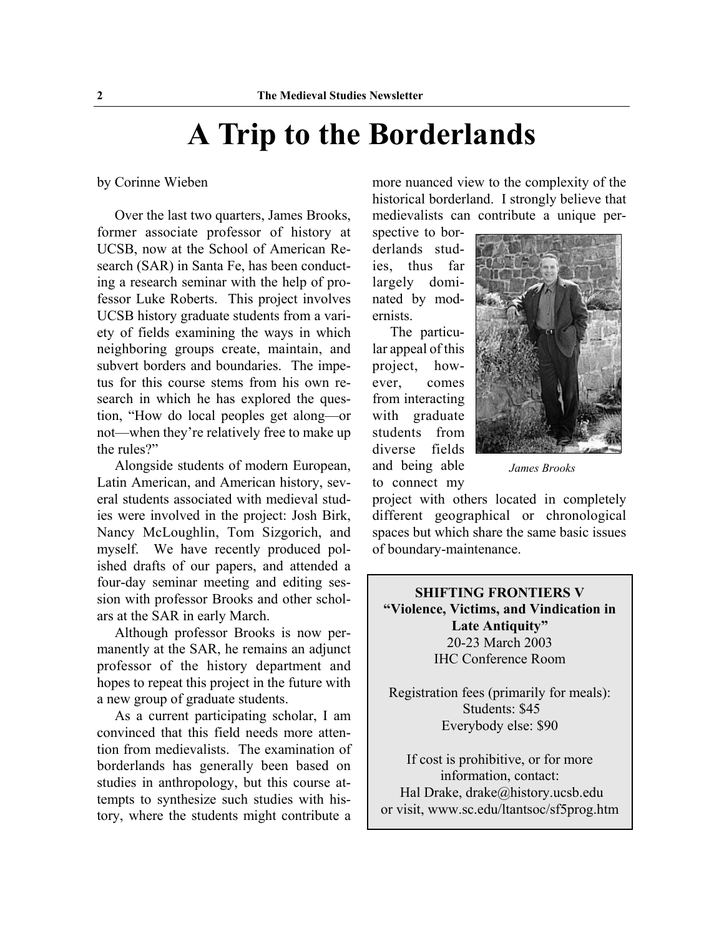# **A Trip to the Borderlands**

by Corinne Wieben

 Over the last two quarters, James Brooks, former associate professor of history at UCSB, now at the School of American Research (SAR) in Santa Fe, has been conducting a research seminar with the help of professor Luke Roberts. This project involves UCSB history graduate students from a variety of fields examining the ways in which neighboring groups create, maintain, and subvert borders and boundaries. The impetus for this course stems from his own research in which he has explored the question, "How do local peoples get along—or not—when they're relatively free to make up the rules?"

 Alongside students of modern European, Latin American, and American history, several students associated with medieval studies were involved in the project: Josh Birk, Nancy McLoughlin, Tom Sizgorich, and myself. We have recently produced polished drafts of our papers, and attended a four-day seminar meeting and editing session with professor Brooks and other scholars at the SAR in early March.

 Although professor Brooks is now permanently at the SAR, he remains an adjunct professor of the history department and hopes to repeat this project in the future with a new group of graduate students.

 As a current participating scholar, I am convinced that this field needs more attention from medievalists. The examination of borderlands has generally been based on studies in anthropology, but this course attempts to synthesize such studies with history, where the students might contribute a more nuanced view to the complexity of the historical borderland. I strongly believe that medievalists can contribute a unique per-

spective to borderlands studies, thus far largely dominated by modernists.

 The particular appeal of this project, however, comes from interacting with graduate students from diverse fields and being able to connect my



*James Brooks*

project with others located in completely different geographical or chronological spaces but which share the same basic issues of boundary-maintenance.

**SHIFTING FRONTIERS V "Violence, Victims, and Vindication in Late Antiquity"** 20-23 March 2003 IHC Conference Room

Registration fees (primarily for meals): Students: \$45 Everybody else: \$90

If cost is prohibitive, or for more information, contact: Hal Drake, drake@history.ucsb.edu or visit, www.sc.edu/ltantsoc/sf5prog.htm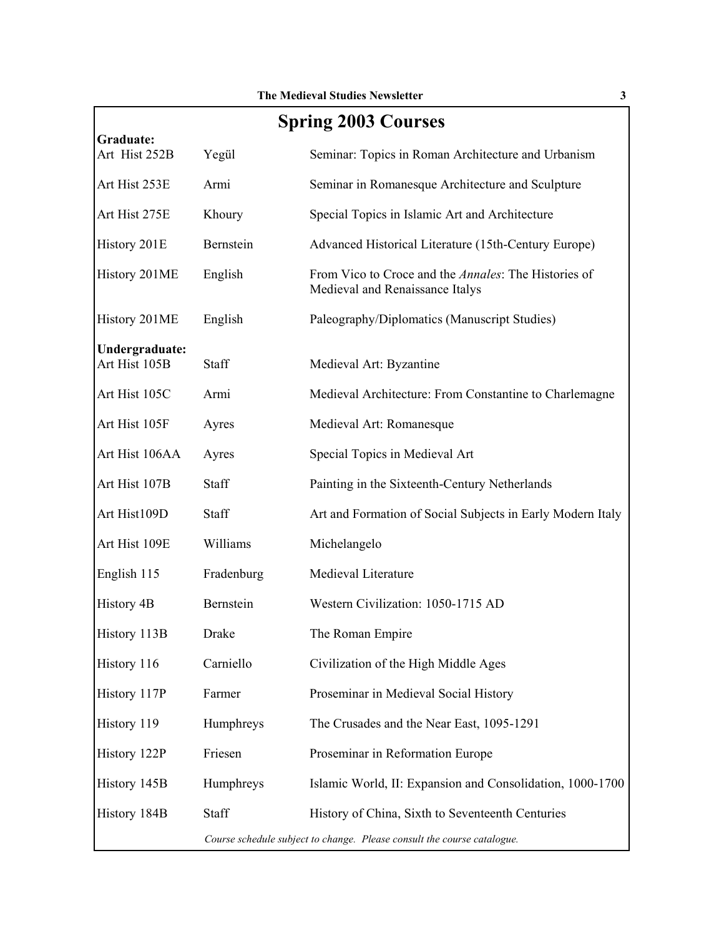| <b>Spring 2003 Courses</b>      |                                                                         |                                                                                         |  |
|---------------------------------|-------------------------------------------------------------------------|-----------------------------------------------------------------------------------------|--|
| Graduate:<br>Art Hist 252B      | Yegül                                                                   | Seminar: Topics in Roman Architecture and Urbanism                                      |  |
| Art Hist 253E                   | Armi                                                                    | Seminar in Romanesque Architecture and Sculpture                                        |  |
| Art Hist 275E                   | Khoury                                                                  | Special Topics in Islamic Art and Architecture                                          |  |
| History 201E                    | Bernstein                                                               | Advanced Historical Literature (15th-Century Europe)                                    |  |
| History 201ME                   | English                                                                 | From Vico to Croce and the Annales: The Histories of<br>Medieval and Renaissance Italys |  |
| History 201ME                   | English                                                                 | Paleography/Diplomatics (Manuscript Studies)                                            |  |
| Undergraduate:<br>Art Hist 105B | Staff                                                                   | Medieval Art: Byzantine                                                                 |  |
| Art Hist 105C                   | Armi                                                                    | Medieval Architecture: From Constantine to Charlemagne                                  |  |
| Art Hist 105F                   | Ayres                                                                   | Medieval Art: Romanesque                                                                |  |
| Art Hist 106AA                  | Ayres                                                                   | Special Topics in Medieval Art                                                          |  |
| Art Hist 107B                   | <b>Staff</b>                                                            | Painting in the Sixteenth-Century Netherlands                                           |  |
| Art Hist109D                    | Staff                                                                   | Art and Formation of Social Subjects in Early Modern Italy                              |  |
| Art Hist 109E                   | Williams                                                                | Michelangelo                                                                            |  |
| English 115                     | Fradenburg                                                              | Medieval Literature                                                                     |  |
| <b>History 4B</b>               | Bernstein                                                               | Western Civilization: 1050-1715 AD                                                      |  |
| History 113B                    | Drake                                                                   | The Roman Empire                                                                        |  |
| History 116                     | Carniello                                                               | Civilization of the High Middle Ages                                                    |  |
| History 117P                    | Farmer                                                                  | Proseminar in Medieval Social History                                                   |  |
| History 119                     | Humphreys                                                               | The Crusades and the Near East, 1095-1291                                               |  |
| History 122P                    | Friesen                                                                 | Proseminar in Reformation Europe                                                        |  |
| History 145B                    | Humphreys                                                               | Islamic World, II: Expansion and Consolidation, 1000-1700                               |  |
| History 184B                    | Staff                                                                   | History of China, Sixth to Seventeenth Centuries                                        |  |
|                                 | Course schedule subject to change. Please consult the course catalogue. |                                                                                         |  |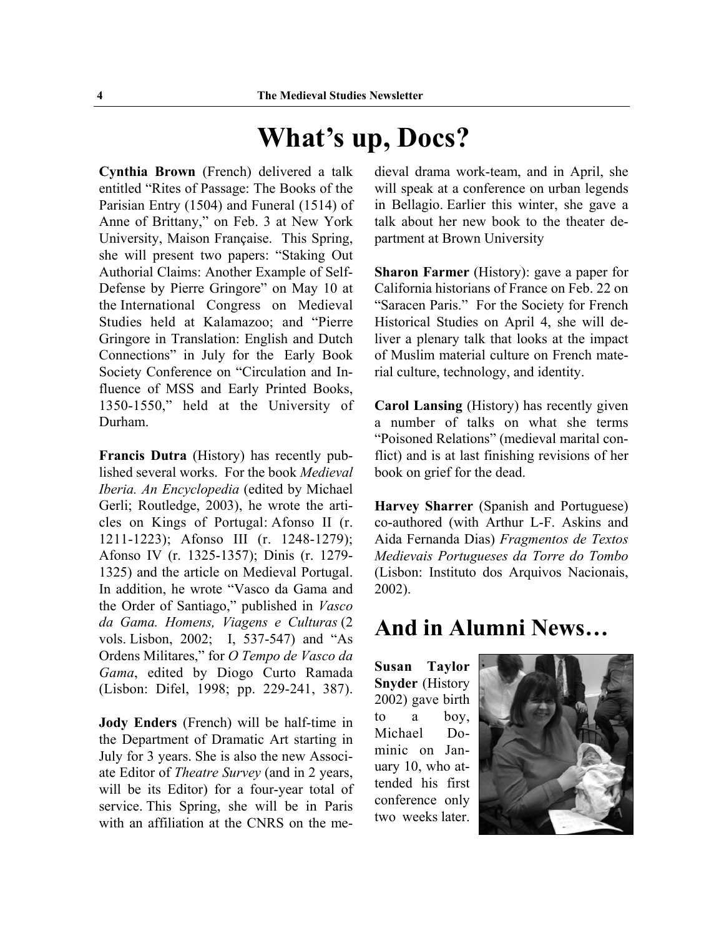## **What's up, Docs?**

**Cynthia Brown** (French) delivered a talk entitled "Rites of Passage: The Books of the Parisian Entry (1504) and Funeral (1514) of Anne of Brittany," on Feb. 3 at New York University, Maison Française. This Spring, she will present two papers: "Staking Out Authorial Claims: Another Example of Self-Defense by Pierre Gringore" on May 10 at the International Congress on Medieval Studies held at Kalamazoo; and "Pierre Gringore in Translation: English and Dutch Connections" in July for the Early Book Society Conference on "Circulation and Influence of MSS and Early Printed Books, 1350-1550," held at the University of Durham.

**Francis Dutra** (History) has recently published several works. For the book *Medieval Iberia. An Encyclopedia* (edited by Michael Gerli; Routledge, 2003), he wrote the articles on Kings of Portugal: Afonso II (r. 1211-1223); Afonso III (r. 1248-1279); Afonso IV (r. 1325-1357); Dinis (r. 1279- 1325) and the article on Medieval Portugal. In addition, he wrote "Vasco da Gama and the Order of Santiago," published in *Vasco da Gama. Homens, Viagens e Culturas* (2 vols. Lisbon, 2002; I, 537-547) and "As Ordens Militares," for *O Tempo de Vasco da Gama*, edited by Diogo Curto Ramada (Lisbon: Difel, 1998; pp. 229-241, 387).

**Jody Enders** (French) will be half-time in the Department of Dramatic Art starting in July for 3 years. She is also the new Associate Editor of *Theatre Survey* (and in 2 years, will be its Editor) for a four-year total of service. This Spring, she will be in Paris with an affiliation at the CNRS on the medieval drama work-team, and in April, she will speak at a conference on urban legends in Bellagio. Earlier this winter, she gave a talk about her new book to the theater department at Brown University

**Sharon Farmer** (History): gave a paper for California historians of France on Feb. 22 on "Saracen Paris." For the Society for French Historical Studies on April 4, she will deliver a plenary talk that looks at the impact of Muslim material culture on French material culture, technology, and identity.

**Carol Lansing** (History) has recently given a number of talks on what she terms "Poisoned Relations" (medieval marital conflict) and is at last finishing revisions of her book on grief for the dead.

**Harvey Sharrer** (Spanish and Portuguese) co-authored (with Arthur L-F. Askins and Aida Fernanda Dias) *Fragmentos de Textos Medievais Portugueses da Torre do Tombo* (Lisbon: Instituto dos Arquivos Nacionais, 2002).

### **And in Alumni News…**

**Susan Taylor Snyder** (History 2002) gave birth to a boy, Michael Dominic on January 10, who attended his first conference only two weeks later.

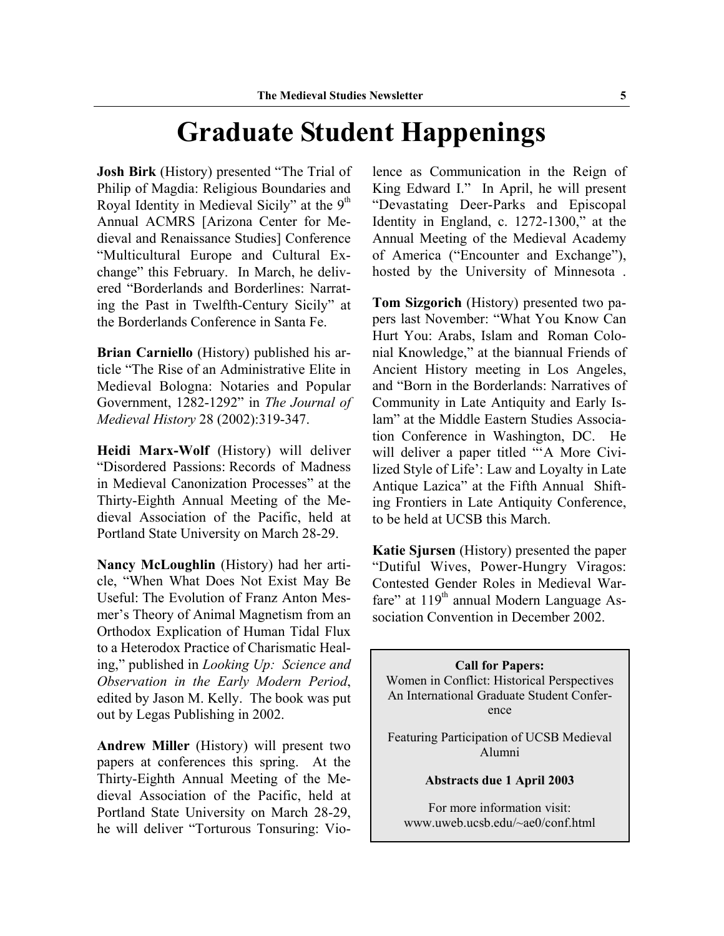## **Graduate Student Happenings**

**Josh Birk** (History) presented "The Trial of Philip of Magdia: Religious Boundaries and Royal Identity in Medieval Sicily" at the  $9<sup>th</sup>$ Annual ACMRS [Arizona Center for Medieval and Renaissance Studies] Conference "Multicultural Europe and Cultural Exchange" this February. In March, he delivered "Borderlands and Borderlines: Narrating the Past in Twelfth-Century Sicily" at the Borderlands Conference in Santa Fe.

**Brian Carniello** (History) published his article "The Rise of an Administrative Elite in Medieval Bologna: Notaries and Popular Government, 1282-1292" in *The Journal of Medieval History* 28 (2002):319-347.

**Heidi Marx-Wolf** (History) will deliver "Disordered Passions: Records of Madness in Medieval Canonization Processes" at the Thirty-Eighth Annual Meeting of the Medieval Association of the Pacific, held at Portland State University on March 28-29.

**Nancy McLoughlin** (History) had her article, "When What Does Not Exist May Be Useful: The Evolution of Franz Anton Mesmer's Theory of Animal Magnetism from an Orthodox Explication of Human Tidal Flux to a Heterodox Practice of Charismatic Healing," published in *Looking Up: Science and Observation in the Early Modern Period*, edited by Jason M. Kelly. The book was put out by Legas Publishing in 2002.

**Andrew Miller** (History) will present two papers at conferences this spring. At the Thirty-Eighth Annual Meeting of the Medieval Association of the Pacific, held at Portland State University on March 28-29, he will deliver "Torturous Tonsuring: Violence as Communication in the Reign of King Edward I." In April, he will present "Devastating Deer-Parks and Episcopal Identity in England, c. 1272-1300," at the Annual Meeting of the Medieval Academy of America ("Encounter and Exchange"), hosted by the University of Minnesota .

**Tom Sizgorich** (History) presented two papers last November: "What You Know Can Hurt You: Arabs, Islam and Roman Colonial Knowledge," at the biannual Friends of Ancient History meeting in Los Angeles, and "Born in the Borderlands: Narratives of Community in Late Antiquity and Early Islam" at the Middle Eastern Studies Association Conference in Washington, DC. He will deliver a paper titled "'A More Civilized Style of Life': Law and Loyalty in Late Antique Lazica" at the Fifth Annual Shifting Frontiers in Late Antiquity Conference, to be held at UCSB this March.

**Katie Sjursen** (History) presented the paper "Dutiful Wives, Power-Hungry Viragos: Contested Gender Roles in Medieval Warfare" at  $119<sup>th</sup>$  annual Modern Language Association Convention in December 2002.

**Call for Papers:** Women in Conflict: Historical Perspectives An International Graduate Student Conference

Featuring Participation of UCSB Medieval Alumni

**Abstracts due 1 April 2003**

For more information visit: www.uweb.ucsb.edu/~ae0/conf.html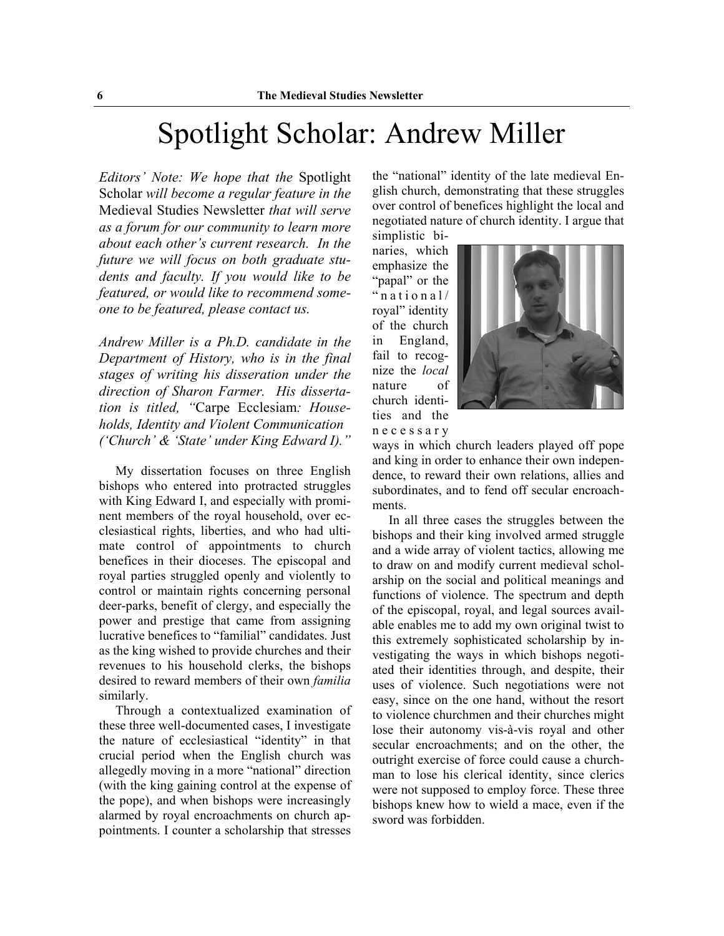## Spotlight Scholar: Andrew Miller

*Editors' Note: We hope that the* Spotlight Scholar *will become a regular feature in the* Medieval Studies Newsletter *that will serve as a forum for our community to learn more about each other's current research. In the future we will focus on both graduate students and faculty. If you would like to be featured, or would like to recommend someone to be featured, please contact us.*

*Andrew Miller is a Ph.D. candidate in the Department of History, who is in the final stages of writing his disseration under the direction of Sharon Farmer. His dissertation is titled, "*Carpe Ecclesiam*: Households, Identity and Violent Communication ('Church' & 'State' under King Edward I)."*

 My dissertation focuses on three English bishops who entered into protracted struggles with King Edward I, and especially with prominent members of the royal household, over ecclesiastical rights, liberties, and who had ultimate control of appointments to church benefices in their dioceses. The episcopal and royal parties struggled openly and violently to control or maintain rights concerning personal deer-parks, benefit of clergy, and especially the power and prestige that came from assigning lucrative benefices to "familial" candidates. Just as the king wished to provide churches and their revenues to his household clerks, the bishops desired to reward members of their own *familia* similarly.

 Through a contextualized examination of these three well-documented cases, I investigate the nature of ecclesiastical "identity" in that crucial period when the English church was allegedly moving in a more "national" direction (with the king gaining control at the expense of the pope), and when bishops were increasingly alarmed by royal encroachments on church appointments. I counter a scholarship that stresses

the "national" identity of the late medieval English church, demonstrating that these struggles over control of benefices highlight the local and negotiated nature of church identity. I argue that simplistic bi-

naries, which emphasize the "papal" or the "national/ royal" identity of the church in England, fail to recognize the *local* nature of church identities and the necessary



ways in which church leaders played off pope and king in order to enhance their own independence, to reward their own relations, allies and subordinates, and to fend off secular encroachments.

 In all three cases the struggles between the bishops and their king involved armed struggle and a wide array of violent tactics, allowing me to draw on and modify current medieval scholarship on the social and political meanings and functions of violence. The spectrum and depth of the episcopal, royal, and legal sources available enables me to add my own original twist to this extremely sophisticated scholarship by investigating the ways in which bishops negotiated their identities through, and despite, their uses of violence. Such negotiations were not easy, since on the one hand, without the resort to violence churchmen and their churches might lose their autonomy vis-à-vis royal and other secular encroachments; and on the other, the outright exercise of force could cause a churchman to lose his clerical identity, since clerics were not supposed to employ force. These three bishops knew how to wield a mace, even if the sword was forbidden.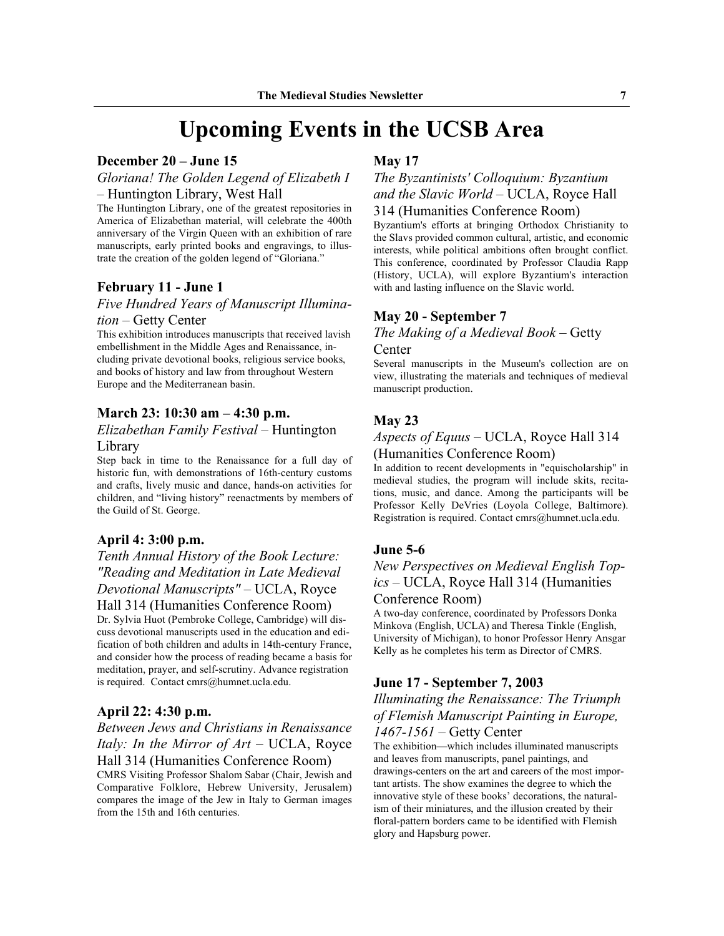### **Upcoming Events in the UCSB Area**

#### **December 20 – June 15**

#### *Gloriana! The Golden Legend of Elizabeth I* – Huntington Library, West Hall

The Huntington Library, one of the greatest repositories in America of Elizabethan material, will celebrate the 400th anniversary of the Virgin Queen with an exhibition of rare manuscripts, early printed books and engravings, to illustrate the creation of the golden legend of "Gloriana."

#### **February 11 - June 1**

#### *Five Hundred Years of Manuscript Illumination* – Getty Center

This exhibition introduces manuscripts that received lavish embellishment in the Middle Ages and Renaissance, including private devotional books, religious service books, and books of history and law from throughout Western Europe and the Mediterranean basin.

#### **March 23: 10:30 am – 4:30 p.m.**

#### *Elizabethan Family Festival* – Huntington

#### Library

Step back in time to the Renaissance for a full day of historic fun, with demonstrations of 16th-century customs and crafts, lively music and dance, hands-on activities for children, and "living history" reenactments by members of the Guild of St. George.

#### **April 4: 3:00 p.m.**

#### *Tenth Annual History of the Book Lecture: "Reading and Meditation in Late Medieval Devotional Manuscripts"* – UCLA, Royce

Hall 314 (Humanities Conference Room) Dr. Sylvia Huot (Pembroke College, Cambridge) will discuss devotional manuscripts used in the education and edification of both children and adults in 14th-century France, and consider how the process of reading became a basis for meditation, prayer, and self-scrutiny. Advance registration is required. Contact cmrs@humnet.ucla.edu.

#### **April 22: 4:30 p.m.**

#### *Between Jews and Christians in Renaissance Italy: In the Mirror of Art* – UCLA, Royce Hall 314 (Humanities Conference Room)

CMRS Visiting Professor Shalom Sabar (Chair, Jewish and Comparative Folklore, Hebrew University, Jerusalem) compares the image of the Jew in Italy to German images from the 15th and 16th centuries.

#### **May 17**

#### *The Byzantinists' Colloquium: Byzantium and the Slavic World* – UCLA, Royce Hall 314 (Humanities Conference Room)

Byzantium's efforts at bringing Orthodox Christianity to the Slavs provided common cultural, artistic, and economic interests, while political ambitions often brought conflict. This conference, coordinated by Professor Claudia Rapp (History, UCLA), will explore Byzantium's interaction with and lasting influence on the Slavic world.

#### **May 20 - September 7**

#### *The Making of a Medieval Book* – Getty Center

Several manuscripts in the Museum's collection are on view, illustrating the materials and techniques of medieval manuscript production.

#### **May 23**

#### *Aspects of Equus* – UCLA, Royce Hall 314 (Humanities Conference Room)

In addition to recent developments in "equischolarship" in medieval studies, the program will include skits, recitations, music, and dance. Among the participants will be Professor Kelly DeVries (Loyola College, Baltimore). Registration is required. Contact cmrs@humnet.ucla.edu.

#### **June 5-6**

#### *New Perspectives on Medieval English Topics* – UCLA, Royce Hall 314 (Humanities Conference Room)

A two-day conference, coordinated by Professors Donka Minkova (English, UCLA) and Theresa Tinkle (English, University of Michigan), to honor Professor Henry Ansgar Kelly as he completes his term as Director of CMRS.

#### **June 17 - September 7, 2003**

#### *Illuminating the Renaissance: The Triumph of Flemish Manuscript Painting in Europe, 1467-1561* – Getty Center

The exhibition—which includes illuminated manuscripts and leaves from manuscripts, panel paintings, and drawings-centers on the art and careers of the most important artists. The show examines the degree to which the innovative style of these books' decorations, the naturalism of their miniatures, and the illusion created by their floral-pattern borders came to be identified with Flemish glory and Hapsburg power.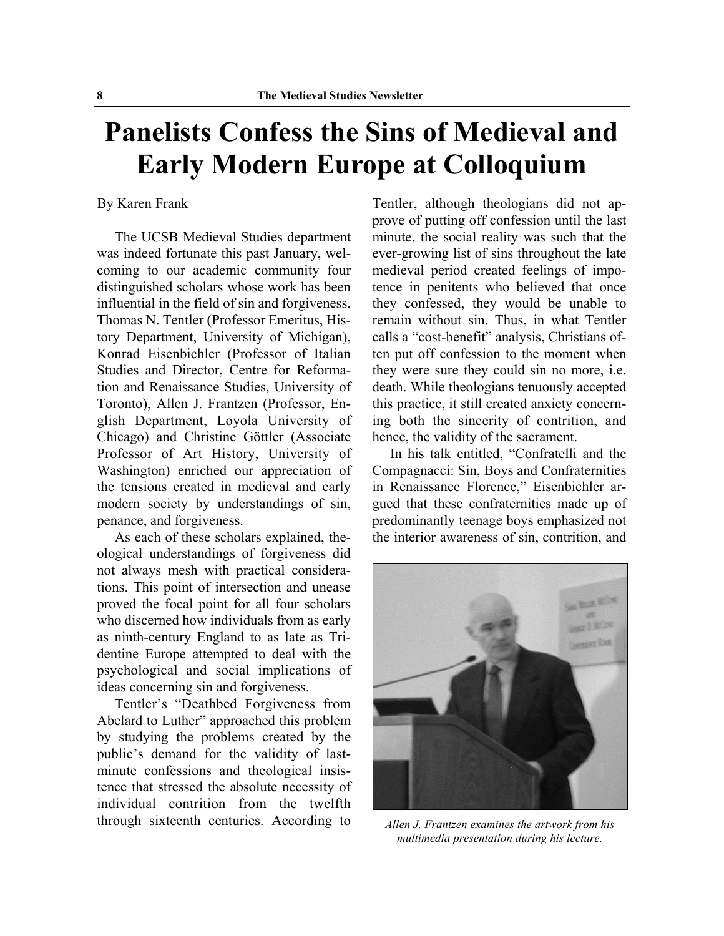## **Panelists Confess the Sins of Medieval and Early Modern Europe at Colloquium**

#### By Karen Frank

 The UCSB Medieval Studies department was indeed fortunate this past January, welcoming to our academic community four distinguished scholars whose work has been influential in the field of sin and forgiveness. Thomas N. Tentler (Professor Emeritus, History Department, University of Michigan), Konrad Eisenbichler (Professor of Italian Studies and Director, Centre for Reformation and Renaissance Studies, University of Toronto), Allen J. Frantzen (Professor, English Department, Loyola University of Chicago) and Christine Göttler (Associate Professor of Art History, University of Washington) enriched our appreciation of the tensions created in medieval and early modern society by understandings of sin, penance, and forgiveness.

 As each of these scholars explained, theological understandings of forgiveness did not always mesh with practical considerations. This point of intersection and unease proved the focal point for all four scholars who discerned how individuals from as early as ninth-century England to as late as Tridentine Europe attempted to deal with the psychological and social implications of ideas concerning sin and forgiveness.

 Tentler's "Deathbed Forgiveness from Abelard to Luther" approached this problem by studying the problems created by the public's demand for the validity of lastminute confessions and theological insistence that stressed the absolute necessity of individual contrition from the twelfth through sixteenth centuries. According to

Tentler, although theologians did not approve of putting off confession until the last minute, the social reality was such that the ever-growing list of sins throughout the late medieval period created feelings of impotence in penitents who believed that once they confessed, they would be unable to remain without sin. Thus, in what Tentler calls a "cost-benefit" analysis, Christians often put off confession to the moment when they were sure they could sin no more, i.e. death. While theologians tenuously accepted this practice, it still created anxiety concerning both the sincerity of contrition, and hence, the validity of the sacrament.

 In his talk entitled, "Confratelli and the Compagnacci: Sin, Boys and Confraternities in Renaissance Florence," Eisenbichler argued that these confraternities made up of predominantly teenage boys emphasized not the interior awareness of sin, contrition, and



*Allen J. Frantzen examines the artwork from his multimedia presentation during his lecture.*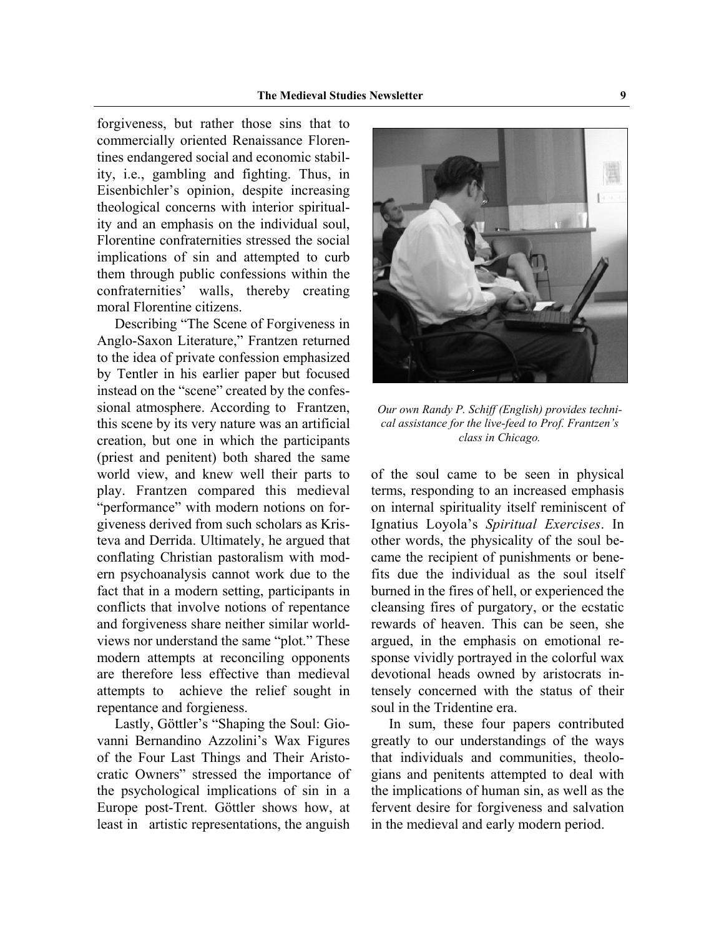forgiveness, but rather those sins that to commercially oriented Renaissance Florentines endangered social and economic stability, i.e., gambling and fighting. Thus, in Eisenbichler's opinion, despite increasing theological concerns with interior spirituality and an emphasis on the individual soul, Florentine confraternities stressed the social implications of sin and attempted to curb them through public confessions within the confraternities' walls, thereby creating moral Florentine citizens.

 Describing "The Scene of Forgiveness in Anglo-Saxon Literature," Frantzen returned to the idea of private confession emphasized by Tentler in his earlier paper but focused instead on the "scene" created by the confessional atmosphere. According to Frantzen, this scene by its very nature was an artificial creation, but one in which the participants (priest and penitent) both shared the same world view, and knew well their parts to play. Frantzen compared this medieval "performance" with modern notions on forgiveness derived from such scholars as Kristeva and Derrida. Ultimately, he argued that conflating Christian pastoralism with modern psychoanalysis cannot work due to the fact that in a modern setting, participants in conflicts that involve notions of repentance and forgiveness share neither similar worldviews nor understand the same "plot." These modern attempts at reconciling opponents are therefore less effective than medieval attempts to achieve the relief sought in repentance and forgieness.

 Lastly, Göttler's "Shaping the Soul: Giovanni Bernandino Azzolini's Wax Figures of the Four Last Things and Their Aristocratic Owners" stressed the importance of the psychological implications of sin in a Europe post-Trent. Göttler shows how, at least in artistic representations, the anguish



*Our own Randy P. Schiff (English) provides technical assistance for the live-feed to Prof. Frantzen's class in Chicago.*

of the soul came to be seen in physical terms, responding to an increased emphasis on internal spirituality itself reminiscent of Ignatius Loyola's *Spiritual Exercises*. In other words, the physicality of the soul became the recipient of punishments or benefits due the individual as the soul itself burned in the fires of hell, or experienced the cleansing fires of purgatory, or the ecstatic rewards of heaven. This can be seen, she argued, in the emphasis on emotional response vividly portrayed in the colorful wax devotional heads owned by aristocrats intensely concerned with the status of their soul in the Tridentine era.

 In sum, these four papers contributed greatly to our understandings of the ways that individuals and communities, theologians and penitents attempted to deal with the implications of human sin, as well as the fervent desire for forgiveness and salvation in the medieval and early modern period.